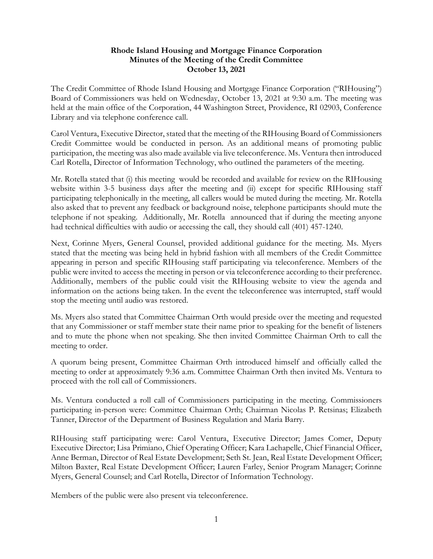## **Rhode Island Housing and Mortgage Finance Corporation Minutes of the Meeting of the Credit Committee October 13, 2021**

The Credit Committee of Rhode Island Housing and Mortgage Finance Corporation ("RIHousing") Board of Commissioners was held on Wednesday, October 13, 2021 at 9:30 a.m. The meeting was held at the main office of the Corporation, 44 Washington Street, Providence, RI 02903, Conference Library and via telephone conference call.

Carol Ventura, Executive Director, stated that the meeting of the RIHousing Board of Commissioners Credit Committee would be conducted in person. As an additional means of promoting public participation, the meeting was also made available via live teleconference. Ms. Ventura then introduced Carl Rotella, Director of Information Technology, who outlined the parameters of the meeting.

Mr. Rotella stated that (i) this meeting would be recorded and available for review on the RIHousing website within 3-5 business days after the meeting and (ii) except for specific RIHousing staff participating telephonically in the meeting, all callers would be muted during the meeting. Mr. Rotella also asked that to prevent any feedback or background noise, telephone participants should mute the telephone if not speaking. Additionally, Mr. Rotella announced that if during the meeting anyone had technical difficulties with audio or accessing the call, they should call (401) 457-1240.

Next, Corinne Myers, General Counsel, provided additional guidance for the meeting. Ms. Myers stated that the meeting was being held in hybrid fashion with all members of the Credit Committee appearing in person and specific RIHousing staff participating via teleconference. Members of the public were invited to access the meeting in person or via teleconference according to their preference. Additionally, members of the public could visit the RIHousing website to view the agenda and information on the actions being taken. In the event the teleconference was interrupted, staff would stop the meeting until audio was restored.

Ms. Myers also stated that Committee Chairman Orth would preside over the meeting and requested that any Commissioner or staff member state their name prior to speaking for the benefit of listeners and to mute the phone when not speaking. She then invited Committee Chairman Orth to call the meeting to order.

A quorum being present, Committee Chairman Orth introduced himself and officially called the meeting to order at approximately 9:36 a.m. Committee Chairman Orth then invited Ms. Ventura to proceed with the roll call of Commissioners.

Ms. Ventura conducted a roll call of Commissioners participating in the meeting. Commissioners participating in-person were: Committee Chairman Orth; Chairman Nicolas P. Retsinas; Elizabeth Tanner, Director of the Department of Business Regulation and Maria Barry.

RIHousing staff participating were: Carol Ventura, Executive Director; James Comer, Deputy Executive Director; Lisa Primiano, Chief Operating Officer; Kara Lachapelle, Chief Financial Officer, Anne Berman, Director of Real Estate Development; Seth St. Jean, Real Estate Development Officer; Milton Baxter, Real Estate Development Officer; Lauren Farley, Senior Program Manager; Corinne Myers, General Counsel; and Carl Rotella, Director of Information Technology.

Members of the public were also present via teleconference.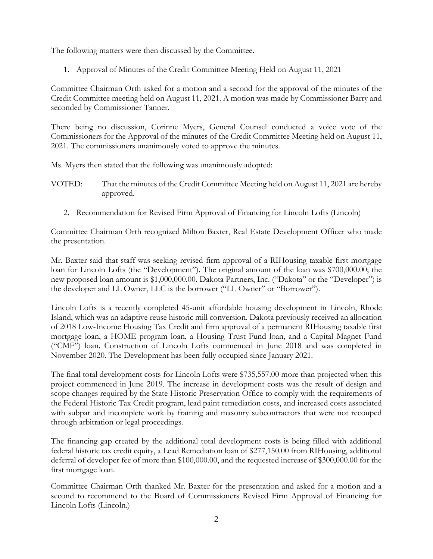The following matters were then discussed by the Committee.

1. Approval of Minutes of the Credit Committee Meeting Held on August 11, 2021

Committee Chairman Orth asked for a motion and a second for the approval of the minutes of the Credit Committee meeting held on August 11, 2021. A motion was made by Commissioner Barry and seconded by Commissioner Tanner.

There being no discussion, Corinne Myers, General Counsel conducted a voice vote of the Commissioners for the Approval of the minutes of the Credit Committee Meeting held on August 11, 2021. The commissioners unanimously voted to approve the minutes.

Ms. Myers then stated that the following was unanimously adopted:

- VOTED: That the minutes of the Credit Committee Meeting held on August 11, 2021 are hereby approved.
	- 2. Recommendation for Revised Firm Approval of Financing for Lincoln Lofts (Lincoln)

Committee Chairman Orth recognized Milton Baxter, Real Estate Development Officer who made the presentation.

Mr. Baxter said that staff was seeking revised firm approval of a RIHousing taxable first mortgage loan for Lincoln Lofts (the "Development"). The original amount of the loan was \$700,000.00; the new proposed loan amount is \$1,000,000.00. Dakota Partners, Inc. ("Dakota" or the "Developer") is the developer and LL Owner, LLC is the borrower ("LL Owner" or "Borrower").

Lincoln Lofts is a recently completed 45-unit affordable housing development in Lincoln, Rhode Island, which was an adaptive reuse historic mill conversion. Dakota previously received an allocation of 2018 Low-Income Housing Tax Credit and firm approval of a permanent RIHousing taxable first mortgage loan, a HOME program loan, a Housing Trust Fund loan, and a Capital Magnet Fund ("CMF") loan. Construction of Lincoln Lofts commenced in June 2018 and was completed in November 2020. The Development has been fully occupied since January 2021.

The final total development costs for Lincoln Lofts were \$735,557.00 more than projected when this project commenced in June 2019. The increase in development costs was the result of design and scope changes required by the State Historic Preservation Office to comply with the requirements of the Federal Historic Tax Credit program, lead paint remediation costs, and increased costs associated with subpar and incomplete work by framing and masonry subcontractors that were not recouped through arbitration or legal proceedings.

The financing gap created by the additional total development costs is being filled with additional federal historic tax credit equity, a Lead Remediation loan of \$277,150.00 from RIHousing, additional deferral of developer fee of more than \$100,000.00, and the requested increase of \$300,000.00 for the first mortgage loan.

Committee Chairman Orth thanked Mr. Baxter for the presentation and asked for a motion and a second to recommend to the Board of Commissioners Revised Firm Approval of Financing for Lincoln Lofts (Lincoln.)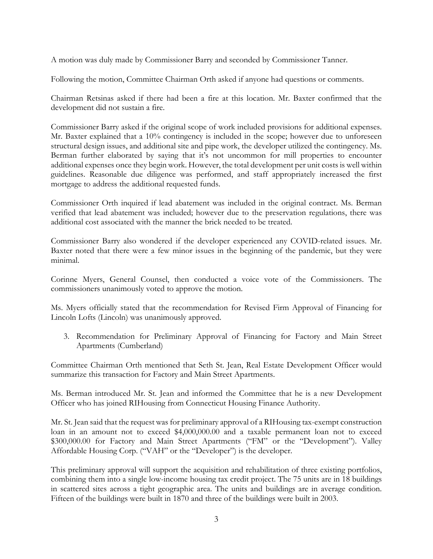A motion was duly made by Commissioner Barry and seconded by Commissioner Tanner.

Following the motion, Committee Chairman Orth asked if anyone had questions or comments.

Chairman Retsinas asked if there had been a fire at this location. Mr. Baxter confirmed that the development did not sustain a fire.

Commissioner Barry asked if the original scope of work included provisions for additional expenses. Mr. Baxter explained that a 10% contingency is included in the scope; however due to unforeseen structural design issues, and additional site and pipe work, the developer utilized the contingency. Ms. Berman further elaborated by saying that it's not uncommon for mill properties to encounter additional expenses once they begin work. However, the total development per unit costs is well within guidelines. Reasonable due diligence was performed, and staff appropriately increased the first mortgage to address the additional requested funds.

Commissioner Orth inquired if lead abatement was included in the original contract. Ms. Berman verified that lead abatement was included; however due to the preservation regulations, there was additional cost associated with the manner the brick needed to be treated.

Commissioner Barry also wondered if the developer experienced any COVID-related issues. Mr. Baxter noted that there were a few minor issues in the beginning of the pandemic, but they were minimal.

Corinne Myers, General Counsel, then conducted a voice vote of the Commissioners. The commissioners unanimously voted to approve the motion.

Ms. Myers officially stated that the recommendation for Revised Firm Approval of Financing for Lincoln Lofts (Lincoln) was unanimously approved.

3. Recommendation for Preliminary Approval of Financing for Factory and Main Street Apartments (Cumberland)

Committee Chairman Orth mentioned that Seth St. Jean, Real Estate Development Officer would summarize this transaction for Factory and Main Street Apartments.

Ms. Berman introduced Mr. St. Jean and informed the Committee that he is a new Development Officer who has joined RIHousing from Connecticut Housing Finance Authority.

Mr. St. Jean said that the request was for preliminary approval of a RIHousing tax-exempt construction loan in an amount not to exceed \$4,000,000.00 and a taxable permanent loan not to exceed \$300,000.00 for Factory and Main Street Apartments ("FM" or the "Development"). Valley Affordable Housing Corp. ("VAH" or the "Developer") is the developer.

This preliminary approval will support the acquisition and rehabilitation of three existing portfolios, combining them into a single low-income housing tax credit project. The 75 units are in 18 buildings in scattered sites across a tight geographic area. The units and buildings are in average condition. Fifteen of the buildings were built in 1870 and three of the buildings were built in 2003.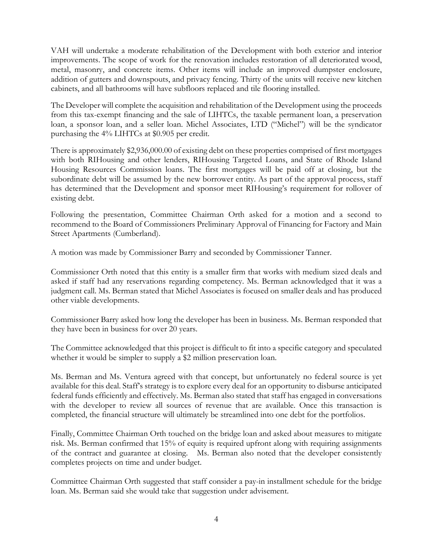VAH will undertake a moderate rehabilitation of the Development with both exterior and interior improvements. The scope of work for the renovation includes restoration of all deteriorated wood, metal, masonry, and concrete items. Other items will include an improved dumpster enclosure, addition of gutters and downspouts, and privacy fencing. Thirty of the units will receive new kitchen cabinets, and all bathrooms will have subfloors replaced and tile flooring installed.

The Developer will complete the acquisition and rehabilitation of the Development using the proceeds from this tax-exempt financing and the sale of LIHTCs, the taxable permanent loan, a preservation loan, a sponsor loan, and a seller loan. Michel Associates, LTD ("Michel") will be the syndicator purchasing the 4% LIHTCs at \$0.905 per credit.

There is approximately \$2,936,000.00 of existing debt on these properties comprised of first mortgages with both RIHousing and other lenders, RIHousing Targeted Loans, and State of Rhode Island Housing Resources Commission loans. The first mortgages will be paid off at closing, but the subordinate debt will be assumed by the new borrower entity. As part of the approval process, staff has determined that the Development and sponsor meet RIHousing's requirement for rollover of existing debt.

Following the presentation, Committee Chairman Orth asked for a motion and a second to recommend to the Board of Commissioners Preliminary Approval of Financing for Factory and Main Street Apartments (Cumberland).

A motion was made by Commissioner Barry and seconded by Commissioner Tanner.

Commissioner Orth noted that this entity is a smaller firm that works with medium sized deals and asked if staff had any reservations regarding competency. Ms. Berman acknowledged that it was a judgment call. Ms. Berman stated that Michel Associates is focused on smaller deals and has produced other viable developments.

Commissioner Barry asked how long the developer has been in business. Ms. Berman responded that they have been in business for over 20 years.

The Committee acknowledged that this project is difficult to fit into a specific category and speculated whether it would be simpler to supply a \$2 million preservation loan.

Ms. Berman and Ms. Ventura agreed with that concept, but unfortunately no federal source is yet available for this deal. Staff's strategy is to explore every deal for an opportunity to disburse anticipated federal funds efficiently and effectively. Ms. Berman also stated that staff has engaged in conversations with the developer to review all sources of revenue that are available. Once this transaction is completed, the financial structure will ultimately be streamlined into one debt for the portfolios.

Finally, Committee Chairman Orth touched on the bridge loan and asked about measures to mitigate risk. Ms. Berman confirmed that 15% of equity is required upfront along with requiring assignments of the contract and guarantee at closing. Ms. Berman also noted that the developer consistently completes projects on time and under budget.

Committee Chairman Orth suggested that staff consider a pay-in installment schedule for the bridge loan. Ms. Berman said she would take that suggestion under advisement.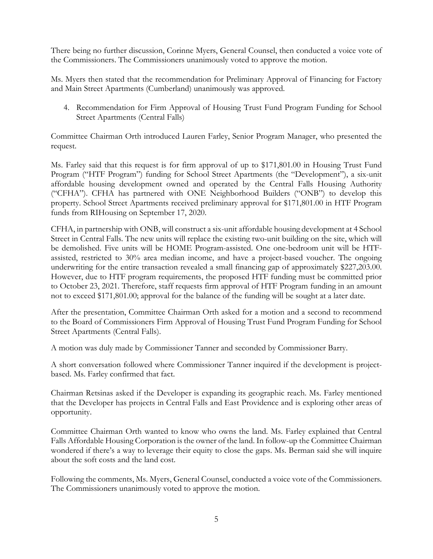There being no further discussion, Corinne Myers, General Counsel, then conducted a voice vote of the Commissioners. The Commissioners unanimously voted to approve the motion.

Ms. Myers then stated that the recommendation for Preliminary Approval of Financing for Factory and Main Street Apartments (Cumberland) unanimously was approved.

4. Recommendation for Firm Approval of Housing Trust Fund Program Funding for School Street Apartments (Central Falls)

Committee Chairman Orth introduced Lauren Farley, Senior Program Manager, who presented the request.

Ms. Farley said that this request is for firm approval of up to \$171,801.00 in Housing Trust Fund Program ("HTF Program") funding for School Street Apartments (the "Development"), a six-unit affordable housing development owned and operated by the Central Falls Housing Authority ("CFHA"). CFHA has partnered with ONE Neighborhood Builders ("ONB") to develop this property. School Street Apartments received preliminary approval for \$171,801.00 in HTF Program funds from RIHousing on September 17, 2020.

CFHA, in partnership with ONB, will construct a six-unit affordable housing development at 4 School Street in Central Falls. The new units will replace the existing two-unit building on the site, which will be demolished. Five units will be HOME Program-assisted. One one-bedroom unit will be HTFassisted, restricted to 30% area median income, and have a project-based voucher. The ongoing underwriting for the entire transaction revealed a small financing gap of approximately \$227,203.00. However, due to HTF program requirements, the proposed HTF funding must be committed prior to October 23, 2021. Therefore, staff requests firm approval of HTF Program funding in an amount not to exceed \$171,801.00; approval for the balance of the funding will be sought at a later date.

After the presentation, Committee Chairman Orth asked for a motion and a second to recommend to the Board of Commissioners Firm Approval of Housing Trust Fund Program Funding for School Street Apartments (Central Falls).

A motion was duly made by Commissioner Tanner and seconded by Commissioner Barry.

A short conversation followed where Commissioner Tanner inquired if the development is projectbased. Ms. Farley confirmed that fact.

Chairman Retsinas asked if the Developer is expanding its geographic reach. Ms. Farley mentioned that the Developer has projects in Central Falls and East Providence and is exploring other areas of opportunity.

Committee Chairman Orth wanted to know who owns the land. Ms. Farley explained that Central Falls Affordable Housing Corporation is the owner of the land. In follow-up the Committee Chairman wondered if there's a way to leverage their equity to close the gaps. Ms. Berman said she will inquire about the soft costs and the land cost.

Following the comments, Ms. Myers, General Counsel, conducted a voice vote of the Commissioners. The Commissioners unanimously voted to approve the motion.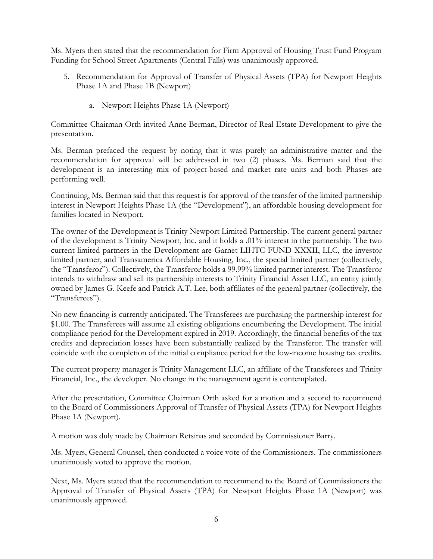Ms. Myers then stated that the recommendation for Firm Approval of Housing Trust Fund Program Funding for School Street Apartments (Central Falls) was unanimously approved.

- 5. Recommendation for Approval of Transfer of Physical Assets (TPA) for Newport Heights Phase 1A and Phase 1B (Newport)
	- a. Newport Heights Phase 1A (Newport)

Committee Chairman Orth invited Anne Berman, Director of Real Estate Development to give the presentation.

Ms. Berman prefaced the request by noting that it was purely an administrative matter and the recommendation for approval will be addressed in two (2) phases. Ms. Berman said that the development is an interesting mix of project-based and market rate units and both Phases are performing well.

Continuing, Ms. Berman said that this request is for approval of the transfer of the limited partnership interest in Newport Heights Phase 1A (the "Development"), an affordable housing development for families located in Newport.

The owner of the Development is Trinity Newport Limited Partnership. The current general partner of the development is Trinity Newport, Inc. and it holds a .01% interest in the partnership. The two current limited partners in the Development are Garnet LIHTC FUND XXXII, LLC, the investor limited partner, and Transamerica Affordable Housing, Inc., the special limited partner (collectively, the "Transferor"). Collectively, the Transferor holds a 99.99% limited partner interest. The Transferor intends to withdraw and sell its partnership interests to Trinity Financial Asset LLC, an entity jointly owned by James G. Keefe and Patrick A.T. Lee, both affiliates of the general partner (collectively, the "Transferees").

No new financing is currently anticipated. The Transferees are purchasing the partnership interest for \$1.00. The Transferees will assume all existing obligations encumbering the Development. The initial compliance period for the Development expired in 2019. Accordingly, the financial benefits of the tax credits and depreciation losses have been substantially realized by the Transferor. The transfer will coincide with the completion of the initial compliance period for the low-income housing tax credits.

The current property manager is Trinity Management LLC, an affiliate of the Transferees and Trinity Financial, Inc., the developer. No change in the management agent is contemplated.

After the presentation, Committee Chairman Orth asked for a motion and a second to recommend to the Board of Commissioners Approval of Transfer of Physical Assets (TPA) for Newport Heights Phase 1A (Newport).

A motion was duly made by Chairman Retsinas and seconded by Commissioner Barry.

Ms. Myers, General Counsel, then conducted a voice vote of the Commissioners. The commissioners unanimously voted to approve the motion.

Next, Ms. Myers stated that the recommendation to recommend to the Board of Commissioners the Approval of Transfer of Physical Assets (TPA) for Newport Heights Phase 1A (Newport) was unanimously approved.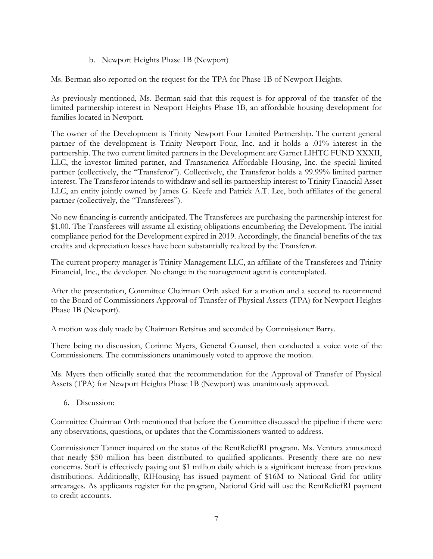b. Newport Heights Phase 1B (Newport)

Ms. Berman also reported on the request for the TPA for Phase 1B of Newport Heights.

As previously mentioned, Ms. Berman said that this request is for approval of the transfer of the limited partnership interest in Newport Heights Phase 1B, an affordable housing development for families located in Newport.

The owner of the Development is Trinity Newport Four Limited Partnership. The current general partner of the development is Trinity Newport Four, Inc. and it holds a .01% interest in the partnership. The two current limited partners in the Development are Garnet LIHTC FUND XXXII, LLC, the investor limited partner, and Transamerica Affordable Housing, Inc. the special limited partner (collectively, the "Transferor"). Collectively, the Transferor holds a 99.99% limited partner interest. The Transferor intends to withdraw and sell its partnership interest to Trinity Financial Asset LLC, an entity jointly owned by James G. Keefe and Patrick A.T. Lee, both affiliates of the general partner (collectively, the "Transferees").

No new financing is currently anticipated. The Transferees are purchasing the partnership interest for \$1.00. The Transferees will assume all existing obligations encumbering the Development. The initial compliance period for the Development expired in 2019. Accordingly, the financial benefits of the tax credits and depreciation losses have been substantially realized by the Transferor.

The current property manager is Trinity Management LLC, an affiliate of the Transferees and Trinity Financial, Inc., the developer. No change in the management agent is contemplated.

After the presentation, Committee Chairman Orth asked for a motion and a second to recommend to the Board of Commissioners Approval of Transfer of Physical Assets (TPA) for Newport Heights Phase 1B (Newport).

A motion was duly made by Chairman Retsinas and seconded by Commissioner Barry.

There being no discussion, Corinne Myers, General Counsel, then conducted a voice vote of the Commissioners. The commissioners unanimously voted to approve the motion.

Ms. Myers then officially stated that the recommendation for the Approval of Transfer of Physical Assets (TPA) for Newport Heights Phase 1B (Newport) was unanimously approved.

6. Discussion:

Committee Chairman Orth mentioned that before the Committee discussed the pipeline if there were any observations, questions, or updates that the Commissioners wanted to address.

Commissioner Tanner inquired on the status of the RentReliefRI program. Ms. Ventura announced that nearly \$50 million has been distributed to qualified applicants. Presently there are no new concerns. Staff is effectively paying out \$1 million daily which is a significant increase from previous distributions. Additionally, RIHousing has issued payment of \$16M to National Grid for utility arrearages. As applicants register for the program, National Grid will use the RentReliefRI payment to credit accounts.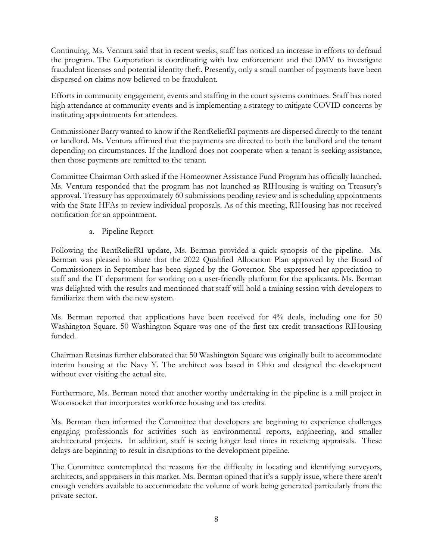Continuing, Ms. Ventura said that in recent weeks, staff has noticed an increase in efforts to defraud the program. The Corporation is coordinating with law enforcement and the DMV to investigate fraudulent licenses and potential identity theft. Presently, only a small number of payments have been dispersed on claims now believed to be fraudulent.

Efforts in community engagement, events and staffing in the court systems continues. Staff has noted high attendance at community events and is implementing a strategy to mitigate COVID concerns by instituting appointments for attendees.

Commissioner Barry wanted to know if the RentReliefRI payments are dispersed directly to the tenant or landlord. Ms. Ventura affirmed that the payments are directed to both the landlord and the tenant depending on circumstances. If the landlord does not cooperate when a tenant is seeking assistance, then those payments are remitted to the tenant.

Committee Chairman Orth asked if the Homeowner Assistance Fund Program has officially launched. Ms. Ventura responded that the program has not launched as RIHousing is waiting on Treasury's approval. Treasury has approximately 60 submissions pending review and is scheduling appointments with the State HFAs to review individual proposals. As of this meeting, RIHousing has not received notification for an appointment.

a. Pipeline Report

Following the RentReliefRI update, Ms. Berman provided a quick synopsis of the pipeline. Ms. Berman was pleased to share that the 2022 Qualified Allocation Plan approved by the Board of Commissioners in September has been signed by the Governor. She expressed her appreciation to staff and the IT department for working on a user-friendly platform for the applicants. Ms. Berman was delighted with the results and mentioned that staff will hold a training session with developers to familiarize them with the new system.

Ms. Berman reported that applications have been received for 4% deals, including one for 50 Washington Square. 50 Washington Square was one of the first tax credit transactions RIHousing funded.

Chairman Retsinas further elaborated that 50 Washington Square was originally built to accommodate interim housing at the Navy Y. The architect was based in Ohio and designed the development without ever visiting the actual site.

Furthermore, Ms. Berman noted that another worthy undertaking in the pipeline is a mill project in Woonsocket that incorporates workforce housing and tax credits.

Ms. Berman then informed the Committee that developers are beginning to experience challenges engaging professionals for activities such as environmental reports, engineering, and smaller architectural projects. In addition, staff is seeing longer lead times in receiving appraisals. These delays are beginning to result in disruptions to the development pipeline.

The Committee contemplated the reasons for the difficulty in locating and identifying surveyors, architects, and appraisers in this market. Ms. Berman opined that it's a supply issue, where there aren't enough vendors available to accommodate the volume of work being generated particularly from the private sector.